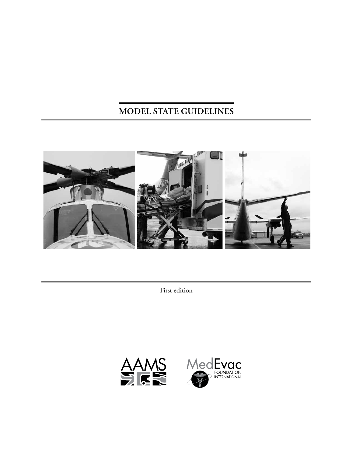# **Model State Guidelines**



First edition



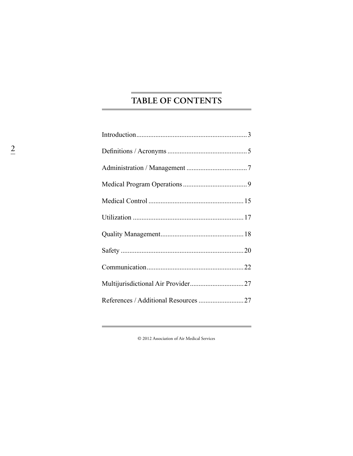# TABLE OF CONTENTS

 $\ensuremath{\mathbb{O}}$  2012 Association of Air Medical Services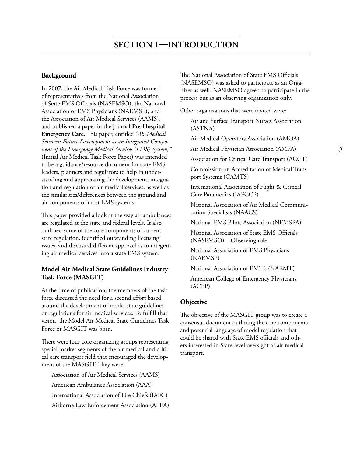#### **Background**

In 2007, the Air Medical Task Force was formed of representatives from the National Association of State EMS Officials (NASEMSO), the National Association of EMS Physicians (NAEMSP), and the Association of Air Medical Services (AAMS), and published a paper in the journal **Pre-Hospital Emergency Care**. This paper, entitled *"Air Medical Services: Future Development as an Integrated Component of the Emergency Medical Services (EMS) System,"* (Initial Air Medical Task Force Paper) was intended to be a guidance/resource document for state EMS leaders, planners and regulators to help in understanding and appreciating the development, integration and regulation of air medical services, as well as the similarities/differences between the ground and air components of most EMS systems.

This paper provided a look at the way air ambulances are regulated at the state and federal levels. It also outlined some of the core components of current state regulation, identified outstanding licensing issues, and discussed different approaches to integrating air medical services into a state EMS system.

### **Model Air Medical State Guidelines Industry Task Force (MASGIT)**

At the time of publication, the members of the task force discussed the need for a second effort based around the development of model state guidelines or regulations for air medical services. To fulfill that vision, the Model Air Medical State Guidelines Task Force or MASGIT was born.

There were four core organizing groups representing special market segments of the air medical and critical care transport field that encouraged the development of the MASGIT. They were:

Association of Air Medical Services (AAMS) American Ambulance Association (AAA) International Association of Fire Chiefs (IAFC) Airborne Law Enforcement Association (ALEA) The National Association of State EMS Officials (NASEMSO) was asked to participate as an Organizer as well. NASEMSO agreed to participate in the process but as an observing organization only.

Other organizations that were invited were:

Air and Surface Transport Nurses Association (ASTNA)

Air Medical Operators Association (AMOA)

Air Medical Physician Association (AMPA)

Association for Critical Care Transport (ACCT)

Commission on Accreditation of Medical Transport Systems (CAMTS)

International Association of Flight & Critical Care Paramedics (IAFCCP)

National Association of Air Medical Communication Specialists (NAACS)

National EMS Pilots Association (NEMSPA)

National Association of State EMS Officials (NASEMSO)—Observing role

National Association of EMS Physicians (NAEMSP)

National Association of EMT's (NAEMT)

American College of Emergency Physicians (ACEP)

#### **Objective**

The objective of the MASGIT group was to create a consensus document outlining the core components and potential language of model regulation that could be shared with State EMS officials and others interested in State-level oversight of air medical transport.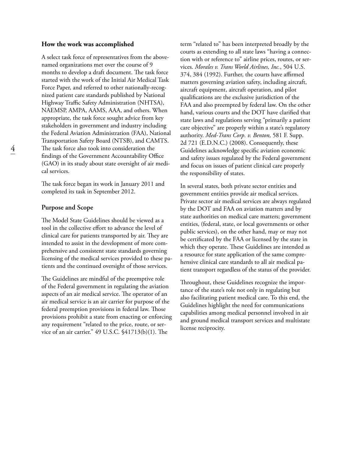#### **How the work was accomplished**

A select task force of representatives from the abovenamed organizations met over the course of 9 months to develop a draft document. The task force started with the work of the Initial Air Medical Task Force Paper, and referred to other nationally-recognized patient care standards published by National Highway Traffic Safety Administration (NHTSA), NAEMSP, AMPA, AAMS, AAA, and others. When appropriate, the task force sought advice from key stakeholders in government and industry including the Federal Aviation Administration (FAA), National Transportation Safety Board (NTSB), and CAMTS. The task force also took into consideration the findings of the Government Accountability Office (GAO) in its study about state oversight of air medical services.

The task force began its work in January 2011 and completed its task in September 2012.

#### **Purpose and Scope**

The Model State Guidelines should be viewed as a tool in the collective effort to advance the level of clinical care for patients transported by air. They are intended to assist in the development of more comprehensive and consistent state standards governing licensing of the medical services provided to these patients and the continued oversight of those services.

The Guidelines are mindful of the preemptive role of the Federal government in regulating the aviation aspects of an air medical service. The operator of an air medical service is an air carrier for purpose of the federal preemption provisions in federal law. Those provisions prohibit a state from enacting or enforcing any requirement "related to the price, route, or service of an air carrier." 49 U.S.C. §41713(b)(1). The

term "related to" has been interpreted broadly by the courts as extending to all state laws "having a connection with or reference to" airline prices, routes, or services. *Morales v. Trans World Airlines, Inc.*, 504 U.S. 374, 384 (1992). Further, the courts have affirmed matters governing aviation safety, including aircraft, aircraft equipment, aircraft operation, and pilot qualifications are the exclusive jurisdiction of the FAA and also preempted by federal law. On the other hand, various courts and the DOT have clarified that state laws and regulations serving "primarily a patient care objective" are properly within a state's regulatory authority. *Med-Trans Corp. v. Benton,* 581 F. Supp. 2d 721 (E.D.N.C.) (2008). Consequently, these Guidelines acknowledge specific aviation economic and safety issues regulated by the Federal government and focus on issues of patient clinical care properly the responsibility of states.

In several states, both private sector entities and government entities provide air medical services. Private sector air medical services are always regulated by the DOT and FAA on aviation matters and by state authorities on medical care matters; government entities, (federal, state, or local governments or other public services), on the other hand, may or may not be certificated by the FAA or licensed by the state in which they operate. These Guidelines are intended as a resource for state application of the same comprehensive clinical care standards to all air medical patient transport regardless of the status of the provider.

Throughout, these Guidelines recognize the importance of the state's role not only in regulating but also facilitating patient medical care. To this end, the Guidelines highlight the need for communications capabilities among medical personnel involved in air and ground medical transport services and multistate license reciprocity.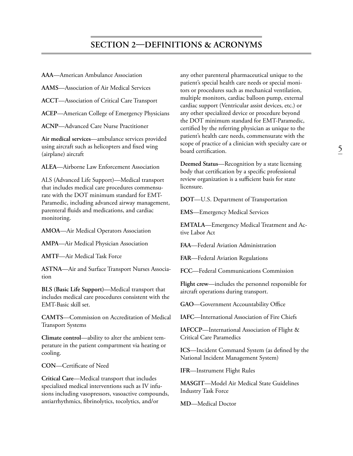**AAA**—American Ambulance Association

**AAMS**—Association of Air Medical Services

**ACCT**—Association of Critical Care Transport

**ACEP**—American College of Emergency Physicians

**ACNP**—Advanced Care Nurse Practitioner

**Air medical services**—ambulance services provided using aircraft such as helicopters and fixed wing (airplane) aircraft

**ALEA**—Airborne Law Enforcement Association

ALS (Advanced Life Support)—Medical transport that includes medical care procedures commensurate with the DOT minimum standard for EMT-Paramedic, including advanced airway management, parenteral fluids and medications, and cardiac monitoring.

**AMOA**—Air Medical Operators Association

**AMPA**—Air Medical Physician Association

**AMTF**—Air Medical Task Force

**ASTNA**—Air and Surface Transport Nurses Association

**BLS (Basic Life Support)—**Medical transport that includes medical care procedures consistent with the EMT-Basic skill set.

**CAMTS**—Commission on Accreditation of Medical Transport Systems

**Climate control**—ability to alter the ambient temperature in the patient compartment via heating or cooling.

**CON**—Certificate of Need

**Critical Care**—Medical transport that includes specialized medical interventions such as IV infusions including vasopressors, vasoactive compounds, antiarrhythmics, fibrinolytics, tocolytics, and/or

any other parenteral pharmaceutical unique to the patient's special health care needs or special monitors or procedures such as mechanical ventilation, multiple monitors, cardiac balloon pump, external cardiac support (Ventricular assist devices, etc.) or any other specialized device or procedure beyond the DOT minimum standard for EMT-Paramedic, certified by the referring physician as unique to the patient's health care needs, commensurate with the scope of practice of a clinician with specialty care or board certification.

**Deemed Status**—Recognition by a state licensing body that certification by a specific professional review organization is a sufficient basis for state licensure.

**DOT**—U.S. Department of Transportation

**EMS**—Emergency Medical Services

**EMTALA**—Emergency Medical Treatment and Active Labor Act

**FAA**—Federal Aviation Administration

**FAR**—Federal Aviation Regulations

**FCC**—Federal Communications Commission

**Flight crew**—includes the personnel responsible for aircraft operations during transport.

**GAO**—Government Accountability Office

**IAFC**—International Association of Fire Chiefs

**IAFCCP**—International Association of Flight & Critical Care Paramedics

**ICS**—Incident Command System (as defined by the National Incident Management System)

**IFR**—Instrument Flight Rules

**MASGIT**—Model Air Medical State Guidelines Industry Task Force

**MD**—Medical Doctor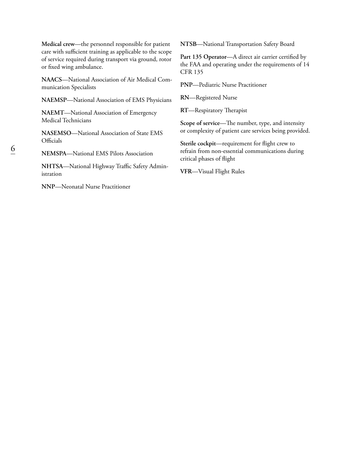**Medical crew**—the personnel responsible for patient care with sufficient training as applicable to the scope of service required during transport via ground, rotor or fixed wing ambulance.

**NAACS**—National Association of Air Medical Communication Specialists

**NAEMSP**—National Association of EMS Physicians

**NAEMT**—National Association of Emergency Medical Technicians

**NASEMSO**—National Association of State EMS **Officials** 

**NEMSPA**—National EMS Pilots Association

**NHTSA**—National Highway Traffic Safety Administration

**NNP**—Neonatal Nurse Practitioner

**NTSB**—National Transportation Safety Board

Part 135 Operator—A direct air carrier certified by the FAA and operating under the requirements of 14 CFR 135

**PNP**—Pediatric Nurse Practitioner

**RN**—Registered Nurse

**RT**—Respiratory Therapist

**Scope of service**—The number, type, and intensity or complexity of patient care services being provided.

**Sterile cockpit**—requirement for flight crew to refrain from non-essential communications during critical phases of flight

**VFR**—Visual Flight Rules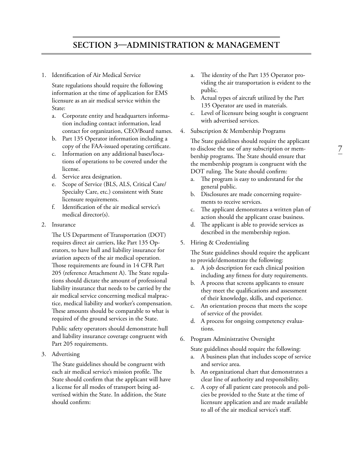# **Section 3—Administration & Management**

1. Identification of Air Medical Service

State regulations should require the following information at the time of application for EMS licensure as an air medical service within the State:

- a. Corporate entity and headquarters information including contact information, lead contact for organization, CEO/Board names.
- b. Part 135 Operator information including a copy of the FAA-issued operating certificate.
- c. Information on any additional bases/locations of operations to be covered under the license.
- d. Service area designation.
- e. Scope of Service (BLS, ALS, Critical Care/ Specialty Care, etc.) consistent with State licensure requirements.
- f. Identification of the air medical service's medical director(s).
- 2. Insurance

The US Department of Transportation (DOT) requires direct air carriers, like Part 135 Operators, to have hull and liability insurance for aviation aspects of the air medical operation. Those requirements are found in 14 CFR Part 205 (reference Attachment A). The State regulations should dictate the amount of professional liability insurance that needs to be carried by the air medical service concerning medical malpractice, medical liability and worker's compensation. These amounts should be comparable to what is required of the ground services in the State.

Public safety operators should demonstrate hull and liability insurance coverage congruent with Part 205 requirements.

3. Advertising

The State guidelines should be congruent with each air medical service's mission profile. The State should confirm that the applicant will have a license for all modes of transport being advertised within the State. In addition, the State should confirm:

- a. The identity of the Part 135 Operator providing the air transportation is evident to the public.
- b. Actual types of aircraft utilized by the Part 135 Operator are used in materials.
- c. Level of licensure being sought is congruent with advertised services.
- 4. Subscription & Membership Programs

The State guidelines should require the applicant to disclose the use of any subscription or membership programs. The State should ensure that the membership program is congruent with the DOT ruling. The State should confirm:

- a. The program is easy to understand for the general public.
- b. Disclosures are made concerning requirements to receive services.
- c. The applicant demonstrates a written plan of action should the applicant cease business.
- d. The applicant is able to provide services as described in the membership region.
- 5. Hiring & Credentialing

The State guidelines should require the applicant to provide/demonstrate the following:

- a. A job description for each clinical position including any fitness for duty requirements.
- b. A process that screens applicants to ensure they meet the qualifications and assessment of their knowledge, skills, and experience.
- c. An orientation process that meets the scope of service of the provider.
- d. A process for ongoing competency evaluations.
- 6. Program Administrative Oversight

State guidelines should require the following:

- a. A business plan that includes scope of service and service area.
- b. An organizational chart that demonstrates a clear line of authority and responsibility.
- c. A copy of all patient care protocols and policies be provided to the State at the time of licensure application and are made available to all of the air medical service's staff.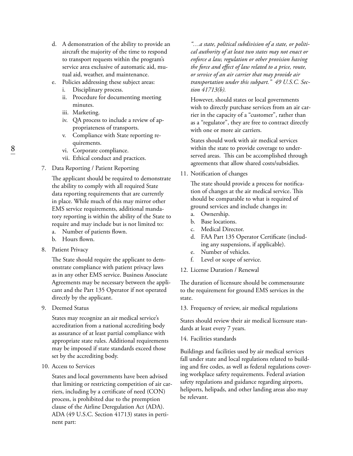- d. A demonstration of the ability to provide an aircraft the majority of the time to respond to transport requests within the program's service area exclusive of automatic aid, mutual aid, weather, and maintenance.
- e. Policies addressing these subject areas:
	- i. Disciplinary process.
	- ii. Procedure for documenting meeting minutes.
	- iii. Marketing.
	- iv. QA process to include a review of appropriateness of transports.
	- v. Compliance with State reporting requirements.
	- vi. Corporate compliance.
	- vii. Ethical conduct and practices.
- 7. Data Reporting / Patient Reporting

The applicant should be required to demonstrate the ability to comply with all required State data reporting requirements that are currently in place. While much of this may mirror other EMS service requirements, additional mandatory reporting is within the ability of the State to require and may include but is not limited to:

- a. Number of patients flown.
- b. Hours flown.
- 8. Patient Privacy

The State should require the applicant to demonstrate compliance with patient privacy laws as in any other EMS service. Business Associate Agreements may be necessary between the applicant and the Part 135 Operator if not operated directly by the applicant.

9. Deemed Status

States may recognize an air medical service's accreditation from a national accrediting body as assurance of at least partial compliance with appropriate state rules. Additional requirements may be imposed if state standards exceed those set by the accrediting body.

10. Access to Services

States and local governments have been advised that limiting or restricting competition of air carriers, including by a certificate of need (CON) process, is prohibited due to the preemption clause of the Airline Deregulation Act (ADA). ADA (49 U.S.C. Section 41713) states in pertinent part:

*"…a state, political subdivision of a state, or political authority of at least two states may not enact or enforce a law, regulation or other provision having the force and effect of law related to a price, route, or service of an air carrier that may provide air transportation under this subpart." 49 U.S.C. Section 41713(b).*

However, should states or local governments wish to directly purchase services from an air carrier in the capacity of a "customer", rather than as a "regulator", they are free to contract directly with one or more air carriers.

States should work with air medical services within the state to provide coverage to underserved areas. This can be accomplished through agreements that allow shared costs/subsidies.

11. Notification of changes

The state should provide a process for notification of changes at the air medical service. This should be comparable to what is required of ground services and include changes in:

- a. Ownership.
- b. Base locations.
- c. Medical Director.
- d. FAA Part 135 Operator Certificate (including any suspensions, if applicable).
- e. Number of vehicles.
- f. Level or scope of service.
- 12. License Duration / Renewal

The duration of licensure should be commensurate to the requirement for ground EMS services in the state.

13. Frequency of review, air medical regulations

States should review their air medical licensure standards at least every 7 years.

14. Facilities standards

Buildings and facilities used by air medical services fall under state and local regulations related to building and fire codes, as well as federal regulations covering workplace safety requirements. Federal aviation safety regulations and guidance regarding airports, heliports, helipads, and other landing areas also may be relevant.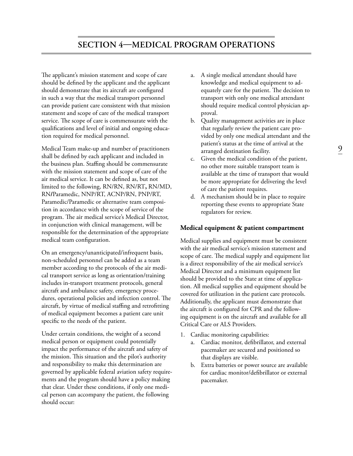The applicant's mission statement and scope of care should be defined by the applicant and the applicant should demonstrate that its aircraft are configured in such a way that the medical transport personnel can provide patient care consistent with that mission statement and scope of care of the medical transport service. The scope of care is commensurate with the qualifications and level of initial and ongoing education required for medical personnel.

Medical Team make-up and number of practitioners shall be defined by each applicant and included in the business plan. Staffing should be commensurate with the mission statement and scope of care of the air medical service. It can be defined as, but not limited to the following, RN/RN, RN/RT**,** RN/MD, RN**/**Paramedic, NNP/RT, ACNP/RN, PNP/RT, Paramedic/Paramedic or alternative team composition in accordance with the scope of service of the program. The air medical service's Medical Director, in conjunction with clinical management, will be responsible for the determination of the appropriate medical team configuration.

On an emergency/unanticipated/infrequent basis, non-scheduled personnel can be added as a team member according to the protocols of the air medical transport service as long as orientation/training includes in-transport treatment protocols, general aircraft and ambulance safety, emergency procedures, operational policies and infection control. The aircraft, by virtue of medical staffing and retrofitting of medical equipment becomes a patient care unit specific to the needs of the patient.

Under certain conditions, the weight of a second medical person or equipment could potentially impact the performance of the aircraft and safety of the mission. This situation and the pilot's authority and responsibility to make this determination are governed by applicable federal aviation safety requirements and the program should have a policy making that clear. Under these conditions, if only one medical person can accompany the patient, the following should occur:

- a. A single medical attendant should have knowledge and medical equipment to adequately care for the patient. The decision to transport with only one medical attendant should require medical control physician approval.
- b. Quality management activities are in place that regularly review the patient care provided by only one medical attendant and the patient's status at the time of arrival at the arranged destination facility.
- c. Given the medical condition of the patient, no other more suitable transport team is available at the time of transport that would be more appropriate for delivering the level of care the patient requires.
- d. A mechanism should be in place to require reporting these events to appropriate State regulators for review.

### **Medical equipment & patient compartment**

Medical supplies and equipment must be consistent with the air medical service's mission statement and scope of care. The medical supply and equipment list is a direct responsibility of the air medical service's Medical Director and a minimum equipment list should be provided to the State at time of application. All medical supplies and equipment should be covered for utilization in the patient care protocols. Additionally, the applicant must demonstrate that the aircraft is configured for CPR and the following equipment is on the aircraft and available for all Critical Care or ALS Providers.

- 1. Cardiac monitoring capabilities:
	- a. Cardiac monitor, defibrillator, and external pacemaker are secured and positioned so that displays are visible.
	- b. Extra batteries or power source are available for cardiac monitor/defibrillator or external pacemaker.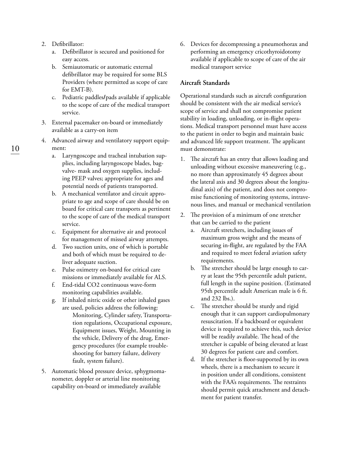- 2. Defibrillator:
	- a. Defibrillator is secured and positioned for easy access.
	- b. Semiautomatic or automatic external defibrillator may be required for some BLS Providers (where permitted as scope of care for EMT-B).
	- c. Pediatric paddles**/**pads available if applicable to the scope of care of the medical transport service.
- 3. External pacemaker on-board or immediately available as a carry-on item
- 4. Advanced airway and ventilatory support equipment:
	- a. Laryngoscope and tracheal intubation supplies, including laryngoscope blades, bagvalve- mask and oxygen supplies, including PEEP valves; appropriate for ages and potential needs of patients transported.
	- b. A mechanical ventilator and circuit appropriate to age and scope of care should be on board for critical care transports as pertinent to the scope of care of the medical transport service.
	- c. Equipment for alternative air and protocol for management of missed airway attempts.
	- d. Two suction units, one of which is portable and both of which must be required to deliver adequate suction.
	- e. Pulse oximetry on-board for critical care missions or immediately available for ALS.
	- f. End-tidal CO2 continuous wave-form monitoring capabilities available.
	- g. If inhaled nitric oxide or other inhaled gases
		- are used, policies address the following: Monitoring, Cylinder safety, Transportation regulations, Occupational exposure, Equipment issues, Weight, Mounting in the vehicle, Delivery of the drug, Emergency procedures (for example troubleshooting for battery failure, delivery fault, system failure).
- 5. Automatic blood pressure device, sphygmomanometer, doppler or arterial line monitoring capability on-board or immediately available

6. Devices for decompressing a pneumothorax and performing an emergency cricothyroidotomy available if applicable to scope of care of the air medical transport service

#### **Aircraft Standards**

Operational standards such as aircraft configuration should be consistent with the air medical service's scope of service and shall not compromise patient stability in loading, unloading, or in-flight operations. Medical transport personnel must have access to the patient in order to begin and maintain basic and advanced life support treatment. The applicant must demonstrate:

- 1. The aircraft has an entry that allows loading and unloading without excessive maneuvering (e.g., no more than approximately 45 degrees about the lateral axis and 30 degrees about the longitudinal axis) of the patient, and does not compromise functioning of monitoring systems, intravenous lines, and manual or mechanical ventilation
- 2. The provision of a minimum of one stretcher that can be carried to the patient
	- a. Aircraft stretchers, including issues of maximum gross weight and the means of securing in-flight, are regulated by the FAA and required to meet federal aviation safety requirements.
	- b. The stretcher should be large enough to carry at least the 95th percentile adult patient, full length in the supine position. (Estimated 95th percentile adult American male is 6 ft. and 232 lbs.).
	- c. The stretcher should be sturdy and rigid enough that it can support cardiopulmonary resuscitation. If a backboard or equivalent device is required to achieve this, such device will be readily available. The head of the stretcher is capable of being elevated at least 30 degrees for patient care and comfort.
	- d. If the stretcher is floor-supported by its own wheels, there is a mechanism to secure it in position under all conditions, consistent with the FAA's requirements. The restraints should permit quick attachment and detachment for patient transfer.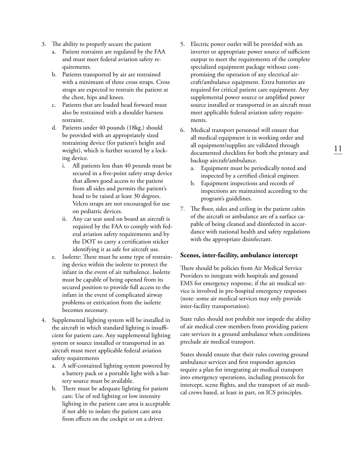- 3. The ability to properly secure the patient
	- a. Patient restraints are regulated by the FAA and must meet federal aviation safety requirements.
	- b. Patients transported by air are restrained with a minimum of three cross straps. Cross straps are expected to restrain the patient at the chest, hips and knees.
	- c. Patients that are loaded head forward must also be restrained with a shoulder harness restraint.
	- d. Patients under 40 pounds (18kg.) should be provided with an appropriately sized restraining device (for patient's height and weight), which is further secured by a locking device.
		- i. All patients less than 40 pounds must be secured in a five-point safety strap device that allows good access to the patient from all sides and permits the patient's head to be raised at least 30 degrees. Velcro straps are not encouraged for use on pediatric devices.
		- ii. Any car seat used on board an aircraft is required by the FAA to comply with federal aviation safety requirements and by the DOT to carry a certification sticker identifying it as safe for aircraft use.
	- e. Isolette: There must be some type of restraining device within the isolette to protect the infant in the event of air turbulence. Isolette must be capable of being opened from its secured position to provide full access to the infant in the event of complicated airway problems or extrication from the isolette becomes necessary.
- 4. Supplemental lighting system will be installed in the aircraft in which standard lighting is insufficient for patient care. Any supplemental lighting system or source installed or transported in an aircraft must meet applicable federal aviation safety requirements
	- a. A self-contained lighting system powered by a battery pack or a portable light with a battery source must be available.
	- b. There must be adequate lighting for patient care: Use of red lighting or low intensity lighting in the patient care area is acceptable if not able to isolate the patient care area from effects on the cockpit or on a driver.
- 5. Electric power outlet will be provided with an inverter or appropriate power source of sufficient output to meet the requirements of the complete specialized equipment package without compromising the operation of any electrical aircraft/ambulance equipment. Extra batteries are required for critical patient care equipment. Any supplemental power source or amplified power source installed or transported in an aircraft must meet applicable federal aviation safety requirements.
- 6. Medical transport personnel will ensure that all medical equipment is in working order and all equipment/supplies are validated through documented checklists for both the primary and backup aircraft/ambulance.
	- a. Equipment must be periodically tested and inspected by a certified clinical engineer.
	- b. Equipment inspections and records of inspections are maintained according to the program's guidelines.
- 7. The floor, sides and ceiling in the patient cabin of the aircraft or ambulance are of a surface capable of being cleaned and disinfected in accordance with national health and safety regulations with the appropriate disinfectant.

#### **Scenes, inter-facility, ambulance intercept**

There should be policies from Air Medical Service Providers to integrate with hospitals and ground EMS for emergency response, if the air medical service is involved in pre-hospital emergency responses (note: some air medical services may only provide inter-facility transportation).

State rules should not prohibit nor impede the ability of air medical crew members from providing patient care services in a ground ambulance when conditions preclude air medical transport.

States should ensure that their rules covering ground ambulance services and first responder agencies require a plan for integrating air medical transport into emergency operations, including protocols for intercept, scene flights, and the transport of air medical crews based, at least in part, on ICS principles.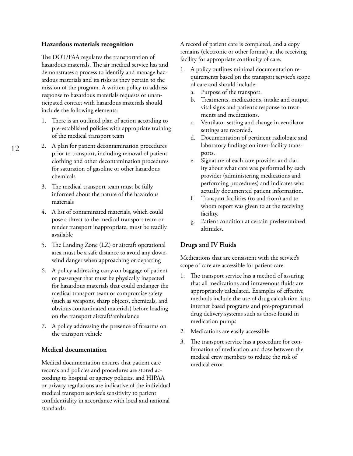#### **Hazardous materials recognition**

The DOT/FAA regulates the transportation of hazardous materials. The air medical service has and demonstrates a process to identify and manage hazardous materials and its risks as they pertain to the mission of the program. A written policy to address response to hazardous materials requests or unanticipated contact with hazardous materials should include the following elements:

- 1. There is an outlined plan of action according to pre-established policies with appropriate training of the medical transport team
- 2. A plan for patient decontamination procedures prior to transport, including removal of patient clothing and other decontamination procedures for saturation of gasoline or other hazardous chemicals
- 3. The medical transport team must be fully informed about the nature of the hazardous materials
- 4. A list of contaminated materials, which could pose a threat to the medical transport team or render transport inappropriate, must be readily available
- 5. The Landing Zone (LZ) or aircraft operational area must be a safe distance to avoid any downwind danger when approaching or departing
- 6. A policy addressing carry-on baggage of patient or passenger that must be physically inspected for hazardous materials that could endanger the medical transport team or compromise safety (such as weapons, sharp objects, chemicals, and obvious contaminated materials) before loading on the transport aircraft/ambulance
- 7. A policy addressing the presence of firearms on the transport vehicle

#### **Medical documentation**

Medical documentation ensures that patient care records and policies and procedures are stored according to hospital or agency policies, and HIPAA or privacy regulations are indicative of the individual medical transport service's sensitivity to patient confidentiality in accordance with local and national standards.

A record of patient care is completed, and a copy remains (electronic or other format) at the receiving facility for appropriate continuity of care.

- 1. A policy outlines minimal documentation requirements based on the transport service's scope of care and should include:
	- a. Purpose of the transport.
	- b. Treatments, medications, intake and output, vital signs and patient's response to treatments and medications.
	- c. Ventilator setting and change in ventilator settings are recorded.
	- d. Documentation of pertinent radiologic and laboratory findings on inter-facility transports.
	- e. Signature of each care provider and clarity about what care was performed by each provider (administering medications and performing procedures) and indicates who actually documented patient information.
	- f. Transport facilities (to and from) and to whom report was given to at the receiving facility.
	- g. Patient condition at certain predetermined altitudes.

#### **Drugs and IV Fluids**

Medications that are consistent with the service's scope of care are accessible for patient care.

- 1. The transport service has a method of assuring that all medications and intravenous fluids are appropriately calculated. Examples of effective methods include the use of drug calculation lists; internet based programs and pre-programmed drug delivery systems such as those found in medication pumps
- 2. Medications are easily accessible
- 3. The transport service has a procedure for confirmation of medication and dose between the medical crew members to reduce the risk of medical error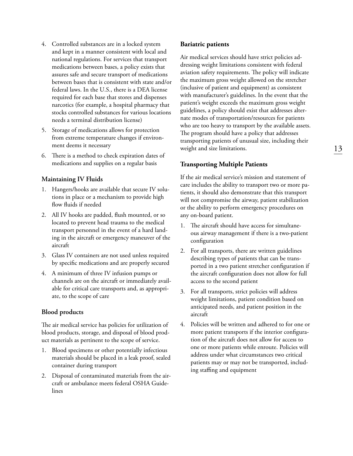- 4. Controlled substances are in a locked system and kept in a manner consistent with local and national regulations. For services that transport medications between bases, a policy exists that assures safe and secure transport of medications between bases that is consistent with state and/or federal laws. In the U.S., there is a DEA license required for each base that stores and dispenses narcotics (for example, a hospital pharmacy that stocks controlled substances for various locations needs a terminal distribution license)
- 5. Storage of medications allows for protection from extreme temperature changes if environment deems it necessary
- 6. There is a method to check expiration dates of medications and supplies on a regular basis

#### **Maintaining IV Fluids**

- 1. Hangers/hooks are available that secure IV solutions in place or a mechanism to provide high flow fluids if needed
- 2. All IV hooks are padded, flush mounted, or so located to prevent head trauma to the medical transport personnel in the event of a hard landing in the aircraft or emergency maneuver of the aircraft
- 3. Glass IV containers are not used unless required by specific medications and are properly secured
- 4. A minimum of three IV infusion pumps or channels are on the aircraft or immediately available for critical care transports and, as appropriate, to the scope of care

### **Blood products**

The air medical service has policies for utilization of blood products, storage, and disposal of blood product materials as pertinent to the scope of service.

- 1. Blood specimens or other potentially infectious materials should be placed in a leak proof, sealed container during transport
- 2. Disposal of contaminated materials from the aircraft or ambulance meets federal OSHA Guidelines

#### **Bariatric patients**

Air medical services should have strict policies addressing weight limitations consistent with federal aviation safety requirements. The policy will indicate the maximum gross weight allowed on the stretcher (inclusive of patient and equipment) as consistent with manufacturer's guidelines. In the event that the patient's weight exceeds the maximum gross weight guidelines, a policy should exist that addresses alternate modes of transportation/resources for patients who are too heavy to transport by the available assets. The program should have a policy that addresses transporting patients of unusual size, including their weight and size limitations.

### **Transporting Multiple Patients**

If the air medical service's mission and statement of care includes the ability to transport two or more patients, it should also demonstrate that this transport will not compromise the airway, patient stabilization or the ability to perform emergency procedures on any on-board patient.

- 1. The aircraft should have access for simultaneous airway management if there is a two-patient configuration
- 2. For all transports, there are written guidelines describing types of patients that can be transported in a two patient stretcher configuration if the aircraft configuration does not allow for full access to the second patient
- 3. For all transports, strict policies will address weight limitations, patient condition based on anticipated needs, and patient position in the aircraft
- 4. Policies will be written and adhered to for one or more patient transports if the interior configuration of the aircraft does not allow for access to one or more patients while enroute. Policies will address under what circumstances two critical patients may or may not be transported, including staffing and equipment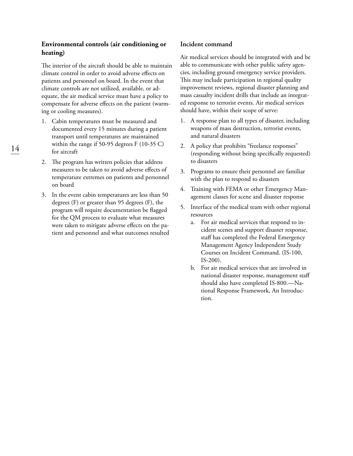## **Environmental controls (air conditioning or heating)**

The interior of the aircraft should be able to maintain climate control in order to avoid adverse effects on patients and personnel on board. In the event that climate controls are not utilized, available, or adequate, the air medical service must have a policy to compensate for adverse effects on the patient (warming or cooling measures).

- 1. Cabin temperatures must be measured and documented every 15 minutes during a patient transport until temperatures are maintained within the range if 50-95 degrees F (10-35 C) for aircraft
- 2. The program has written policies that address measures to be taken to avoid adverse effects of temperature extremes on patients and personnel on board
- 3. In the event cabin temperatures are less than 50 degrees (F) or greater than 95 degrees (F), the program will require documentation be flagged for the QM process to evaluate what measures were taken to mitigate adverse effects on the patient and personnel and what outcomes resulted

### **Incident command**

Air medical services should be integrated with and be able to communicate with other public safety agencies, including ground emergency service providers. This may include participation in regional quality improvement reviews, regional disaster planning and mass casualty incident drills that include an integrated response to terrorist events. Air medical services should have, within their scope of serve:

- 1. A response plan to all types of disaster, including weapons of mass destruction, terrorist events, and natural disasters
- 2. A policy that prohibits "freelance responses" (responding without being specifically requested) to disasters
- 3. Programs to ensure their personnel are familiar with the plan to respond to disasters
- 4. Training with FEMA or other Emergency Management classes for scene and disaster response
- 5. Interface of the medical team with other regional resources
	- a. For air medical services that respond to incident scenes and support disaster response, staff has completed the Federal Emergency Management Agency Independent Study Courses on Incident Command. (IS-100, IS-200).
	- b. For air medical services that are involved in national disaster response, management staff should also have completed IS-800.—National Response Framework, An Introduction.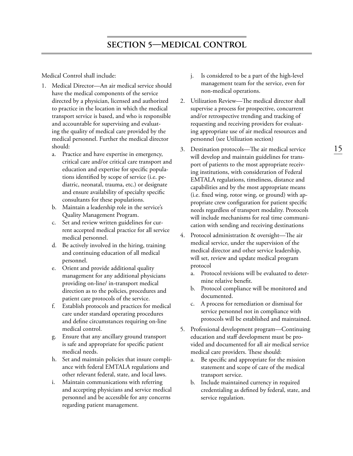Medical Control shall include:

- 1. Medical Director—An air medical service should have the medical components of the service directed by a physician, licensed and authorized to practice in the location in which the medical transport service is based, and who is responsible and accountable for supervising and evaluating the quality of medical care provided by the medical personnel. Further the medical director should:
	- a. Practice and have expertise in emergency, critical care and/or critical care transport and education and expertise for specific populations identified by scope of service (i.e. pediatric, neonatal, trauma, etc.) or designate and ensure availability of specialty specific consultants for these populations.
	- b. Maintain a leadership role in the service's Quality Management Program.
	- c. Set and review written guidelines for current accepted medical practice for all service medical personnel.
	- d. Be actively involved in the hiring, training and continuing education of all medical personnel.
	- e. Orient and provide additional quality management for any additional physicians providing on-line/ in-transport medical direction as to the policies, procedures and patient care protocols of the service.
	- f. Establish protocols and practices for medical care under standard operating procedures and define circumstances requiring on-line medical control.
	- g. Ensure that any ancillary ground transport is safe and appropriate for specific patient medical needs.
	- h. Set and maintain policies that insure compliance with federal EMTALA regulations and other relevant federal, state, and local laws.
	- i. Maintain communications with referring and accepting physicians and service medical personnel and be accessible for any concerns regarding patient management.
- j. Is considered to be a part of the high-level management team for the service, even for non-medical operations.
- 2. Utilization Review—The medical director shall supervise a process for prospective, concurrent and/or retrospective trending and tracking of requesting and receiving providers for evaluating appropriate use of air medical resources and personnel (see Utilization section)
- 3. Destination protocols—The air medical service will develop and maintain guidelines for transport of patients to the most appropriate receiving institutions, with consideration of Federal EMTALA regulations, timeliness, distance and capabilities and by the most appropriate means (i.e. fixed wing, rotor wing, or ground) with appropriate crew configuration for patient specific needs regardless of transport modality. Protocols will include mechanisms for real time communication with sending and receiving destinations
- 4. Protocol administration & oversight—The air medical service, under the supervision of the medical director and other service leadership, will set, review and update medical program protocol
	- a. Protocol revisions will be evaluated to determine relative benefit.
	- b. Protocol compliance will be monitored and documented.
	- c. A process for remediation or dismissal for service personnel not in compliance with protocols will be established and maintained.
- 5. Professional development program—Continuing education and staff development must be provided and documented for all air medical service medical care providers. These should:
	- a. Be specific and appropriate for the mission statement and scope of care of the medical transport service.
	- b. Include maintained currency in required credentialing as defined by federal, state, and service regulation.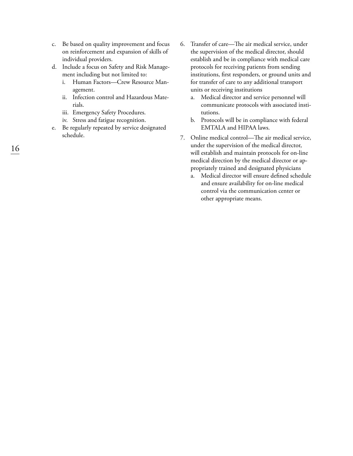- c. Be based on quality improvement and focus on reinforcement and expansion of skills of individual providers.
- d. Include a focus on Safety and Risk Management including but not limited to:
	- i. Human Factors—Crew Resource Management.
	- ii. Infection control and Hazardous Materials.
	- iii. Emergency Safety Procedures.
	- iv. Stress and fatigue recognition.
- e. Be regularly repeated by service designated schedule.
- 6. Transfer of care—The air medical service, under the supervision of the medical director, should establish and be in compliance with medical care protocols for receiving patients from sending institutions, first responders, or ground units and for transfer of care to any additional transport units or receiving institutions
	- a. Medical director and service personnel will communicate protocols with associated institutions.
	- b. Protocols will be in compliance with federal EMTALA and HIPAA laws.
- 7. Online medical control—The air medical service, under the supervision of the medical director, will establish and maintain protocols for on-line medical direction by the medical director or appropriately trained and designated physicians
	- a. Medical director will ensure defined schedule and ensure availability for on-line medical control via the communication center or other appropriate means.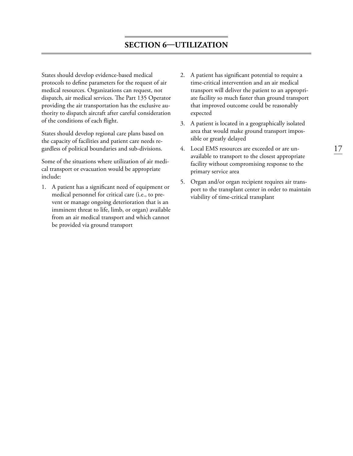## **Section 6—Utilization**

States should develop evidence-based medical protocols to define parameters for the request of air medical resources. Organizations can request, not dispatch, air medical services. The Part 135 Operator providing the air transportation has the exclusive authority to dispatch aircraft after careful consideration of the conditions of each flight.

States should develop regional care plans based on the capacity of facilities and patient care needs regardless of political boundaries and sub-divisions.

Some of the situations where utilization of air medical transport or evacuation would be appropriate include:

1. A patient has a significant need of equipment or medical personnel for critical care (i.e., to prevent or manage ongoing deterioration that is an imminent threat to life, limb, or organ) available from an air medical transport and which cannot be provided via ground transport

- 2. A patient has significant potential to require a time-critical intervention and an air medical transport will deliver the patient to an appropriate facility so much faster than ground transport that improved outcome could be reasonably expected
- 3. A patient is located in a geographically isolated area that would make ground transport impossible or greatly delayed
- 4. Local EMS resources are exceeded or are unavailable to transport to the closest appropriate facility without compromising response to the primary service area
- 5. Organ and/or organ recipient requires air transport to the transplant center in order to maintain viability of time-critical transplant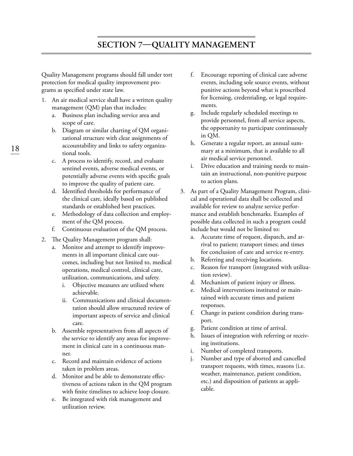Quality Management programs should fall under tort protection for medical quality improvement programs as specified under state law.

- 1. An air medical service shall have a written quality management (QM) plan that includes:
	- a. Business plan including service area and scope of care.
	- b. Diagram or similar charting of QM organizational structure with clear assignments of accountability and links to safety organizational tools.
	- c. A process to identify, record, and evaluate sentinel events, adverse medical events, or potentially adverse events with specific goals to improve the quality of patient care.
	- d. Identified thresholds for performance of the clinical care, ideally based on published standards or established best practices.
	- e. Methodology of data collection and employment of the QM process.
	- f. Continuous evaluation of the QM process.
- 2. The Quality Management program shall:
	- a. Monitor and attempt to identify improvements in all important clinical care outcomes, including but not limited to, medical operations, medical control, clinical care, utilization, communications, and safety.
		- i. Objective measures are utilized where achievable.
		- ii. Communications and clinical documentation should allow structured review of important aspects of service and clinical care.
	- b. Assemble representatives from all aspects of the service to identify any areas for improvement in clinical care in a continuous manner.
	- c. Record and maintain evidence of actions taken in problem areas.
	- d. Monitor and be able to demonstrate effectiveness of actions taken in the QM program with finite timelines to achieve loop closure.
	- e. Be integrated with risk management and utilization review.
- f. Encourage reporting of clinical care adverse events, including sole source events, without punitive actions beyond what is proscribed for licensing, credentialing, or legal requirements.
- g. Include regularly scheduled meetings to provide personnel, from all service aspects, the opportunity to participate continuously in QM.
- h. Generate a regular report, an annual summary at a minimum, that is available to all air medical service personnel.
- i. Drive education and training needs to maintain an instructional, non-punitive purpose to action plans.
- 3. As part of a Quality Management Program, clinical and operational data shall be collected and available for review to analyze service performance and establish benchmarks. Examples of possible data collected in such a program could include but would not be limited to:
	- a. Accurate time of request, dispatch, and arrival to patient; transport times; and times for conclusion of care and service re-entry.
	- b. Referring and receiving locations.
	- c. Reason for transport (integrated with utilization review).
	- d. Mechanism of patient injury or illness.
	- e. Medical interventions instituted or maintained with accurate times and patient responses.
	- f. Change in patient condition during transport.
	- g. Patient condition at time of arrival.
	- h. Issues of integration with referring or receiving institutions.
	- i. Number of completed transports.
	- j. Number and type of aborted and cancelled transport requests, with times, reasons (i.e. weather, maintenance, patient condition, etc.) and disposition of patients as applicable.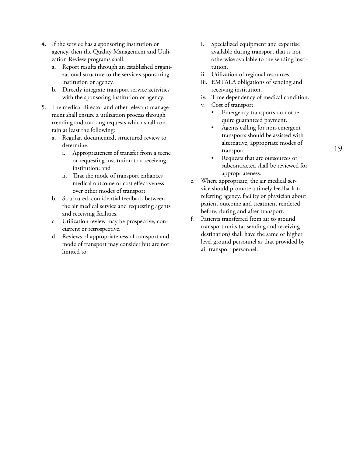- 4. If the service has a sponsoring institution or agency, then the Quality Management and Utilization Review programs shall:
	- a. Report results through an established organizational structure to the service's sponsoring institution or agency.
	- b. Directly integrate transport service activities with the sponsoring institution or agency.
- 5. The medical director and other relevant management shall ensure a utilization process through trending and tracking requests which shall contain at least the following:
	- a. Regular, documented, structured review to determine:
		- i. Appropriateness of transfer from a scene or requesting institution to a receiving institution; and
		- ii. That the mode of transport enhances medical outcome or cost effectiveness over other modes of transport.
	- b. Structured, confidential feedback between the air medical service and requesting agents and receiving facilities.
	- c. Utilization review may be prospective, concurrent or retrospective.
	- d. Reviews of appropriateness of transport and mode of transport may consider but are not limited to:
- i. Specialized equipment and expertise available during transport that is not otherwise available to the sending institution.
- ii. Utilization of regional resources.
- iii. EMTALA obligations of sending and receiving institution.
- iv. Time dependency of medical condition.
- v. Cost of transport.
	- Emergency transports do not require guaranteed payment.
	- Agents calling for non-emergent transports should be assisted with alternative, appropriate modes of transport.
	- Requests that are outsources or subcontracted shall be reviewed for appropriateness.
- e. Where appropriate, the air medical service should promote a timely feedback to referring agency, facility or physician about patient outcome and treatment rendered before, during and after transport.
- f. Patients transferred from air to ground transport units (at sending and receiving destination) shall have the same or higher level ground personnel as that provided by air transport personnel.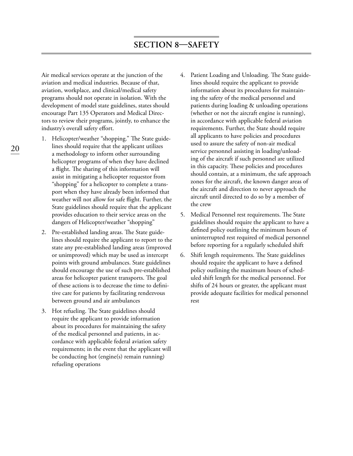Air medical services operate at the junction of the aviation and medical industries. Because of that, aviation, workplace, and clinical/medical safety programs should not operate in isolation. With the development of model state guidelines, states should encourage Part 135 Operators and Medical Directors to review their programs, jointly, to enhance the industry's overall safety effort.

- 1. Helicopter/weather "shopping." The State guidelines should require that the applicant utilizes a methodology to inform other surrounding helicopter programs of when they have declined a flight. The sharing of this information will assist in mitigating a helicopter requestor from "shopping" for a helicopter to complete a transport when they have already been informed that weather will not allow for safe flight. Further, the State guidelines should require that the applicant provides education to their service areas on the dangers of Helicopter/weather "shopping"
- 2. Pre-established landing areas. The State guidelines should require the applicant to report to the state any pre-established landing areas (improved or unimproved) which may be used as intercept points with ground ambulances. State guidelines should encourage the use of such pre-established areas for helicopter patient transports. The goal of these actions is to decrease the time to definitive care for patients by facilitating rendezvous between ground and air ambulances
- 3. Hot refueling. The State guidelines should require the applicant to provide information about its procedures for maintaining the safety of the medical personnel and patients, in accordance with applicable federal aviation safety requirements; in the event that the applicant will be conducting hot (engine(s) remain running) refueling operations
- 4. Patient Loading and Unloading. The State guidelines should require the applicant to provide information about its procedures for maintaining the safety of the medical personnel and patients during loading & unloading operations (whether or not the aircraft engine is running), in accordance with applicable federal aviation requirements. Further, the State should require all applicants to have policies and procedures used to assure the safety of non-air medical service personnel assisting in loading/unloading of the aircraft if such personnel are utilized in this capacity. These policies and procedures should contain, at a minimum, the safe approach zones for the aircraft, the known danger areas of the aircraft and direction to never approach the aircraft until directed to do so by a member of the crew
- 5. Medical Personnel rest requirements. The State guidelines should require the applicant to have a defined policy outlining the minimum hours of uninterrupted rest required of medical personnel before reporting for a regularly scheduled shift
- 6. Shift length requirements. The State guidelines should require the applicant to have a defined policy outlining the maximum hours of scheduled shift length for the medical personnel. For shifts of 24 hours or greater, the applicant must provide adequate facilities for medical personnel rest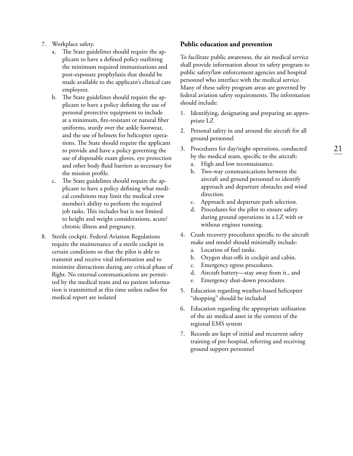- 7. Workplace safety.
	- a. The State guidelines should require the applicant to have a defined policy outlining the minimum required immunizations and post-exposure prophylaxis that should be made available to the applicant's clinical care employees.
	- b. The State guidelines should require the applicant to have a policy defining the use of personal protective equipment to include at a minimum, fire-resistant or natural fiber uniforms, sturdy over the ankle footwear, and the use of helmets for helicopter operations. The State should require the applicant to provide and have a policy governing the use of disposable exam gloves, eye protection and other body fluid barriers as necessary for the mission profile.
	- c. The State guidelines should require the applicant to have a policy defining what medical conditions may limit the medical crew member's ability to perform the required job tasks. This includes but is not limited to height and weight considerations, acute/ chronic illness and pregnancy.
- 8. Sterile cockpit. Federal Aviation Regulations require the maintenance of a sterile cockpit in certain conditions so that the pilot is able to transmit and receive vital information and to minimize distractions during any critical phase of flight. No external communications are permitted by the medical team and no patient information is transmitted at this time unless radios for medical report are isolated

#### **Public education and prevention**

To facilitate public awareness, the air medical service shall provide information about its safety program to public safety/law enforcement agencies and hospital personnel who interface with the medical service. Many of these safety program areas are governed by federal aviation safety requirements. The information should include:

- 1. Identifying, designating and preparing an appropriate LZ
- 2. Personal safety in and around the aircraft for all ground personnel
- 3. Procedures for day/night operations, conducted by the medical team, specific to the aircraft:
	- a. High and low reconnaissance.
	- b. Two-way communications between the aircraft and ground personnel to identify approach and departure obstacles and wind direction.
	- c. Approach and departure path selection.
	- d. Procedures for the pilot to ensure safety during ground operations in a LZ with or without engines running.
- 4. Crash recovery procedures specific to the aircraft make and model should minimally include:
	- a. Location of fuel tanks.
	- b. Oxygen shut-offs in cockpit and cabin.
	- c. Emergency egress procedures.
	- d. Aircraft battery—stay away from it., and
	- e. Emergency shut-down procedures.
- 5. Education regarding weather-based helicopter "shopping" should be included
- 6. Education regarding the appropriate utilization of the air medical asset in the context of the regional EMS system
- 7. Records are kept of initial and recurrent safety training of pre-hospital, referring and receiving ground support personnel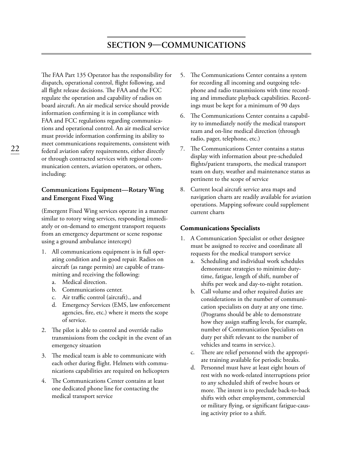# **Section 9—Communications**

The FAA Part 135 Operator has the responsibility for dispatch, operational control, flight following, and all flight release decisions. The FAA and the FCC regulate the operation and capability of radios on board aircraft. An air medical service should provide information confirming it is in compliance with FAA and FCC regulations regarding communications and operational control. An air medical service must provide information confirming its ability to meet communications requirements, consistent with federal aviation safety requirements, either directly or through contracted services with regional communication centers, aviation operators, or others, including:

## **Communications Equipment—Rotary Wing and Emergent Fixed Wing**

(Emergent Fixed Wing services operate in a manner similar to rotory wing services, responding immediately or on-demand to emergent transport requests from an emergency department or scene response using a ground ambulance intercept)

- 1. All communications equipment is in full operating condition and in good repair. Radios on aircraft (as range permits) are capable of transmitting and receiving the following:
	- a. Medical direction.
	- b. Communications center.
	- c. Air traffic control (aircraft)., and
	- d. Emergency Services (EMS, law enforcement agencies, fire, etc.) where it meets the scope of service.
- 2. The pilot is able to control and override radio transmissions from the cockpit in the event of an emergency situation
- 3. The medical team is able to communicate with each other during flight. Helmets with communications capabilities are required on helicopters
- 4. The Communications Center contains at least one dedicated phone line for contacting the medical transport service
- 5. The Communications Center contains a system for recording all incoming and outgoing telephone and radio transmissions with time recording and immediate playback capabilities. Recordings must be kept for a minimum of 90 days
- 6. The Communications Center contains a capability to immediately notify the medical transport team and on-line medical direction (through radio, pager, telephone, etc.)
- 7. The Communications Center contains a status display with information about pre-scheduled flights/patient transports, the medical transport team on duty, weather and maintenance status as pertinent to the scope of service
- 8. Current local aircraft service area maps and navigation charts are readily available for aviation operations. Mapping software could supplement current charts

#### **Communications Specialists**

- 1. A Communication Specialist or other designee must be assigned to receive and coordinate all requests for the medical transport service
	- a. Scheduling and individual work schedules demonstrate strategies to minimize dutytime, fatigue, length of shift, number of shifts per week and day-to-night rotation.
	- b. Call volume and other required duties are considerations in the number of communication specialists on duty at any one time. (Programs should be able to demonstrate how they assign staffing levels, for example, number of Communication Specialists on duty per shift relevant to the number of vehicles and teams in service.).
	- c. There are relief personnel with the appropriate training available for periodic breaks.
	- d. Personnel must have at least eight hours of rest with no work-related interruptions prior to any scheduled shift of twelve hours or more. The intent is to preclude back-to-back shifts with other employment, commercial or military flying, or significant fatigue-causing activity prior to a shift.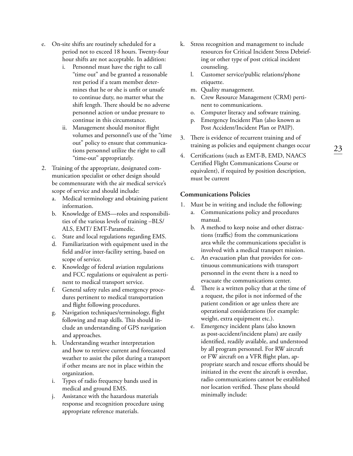- e. On-site shifts are routinely scheduled for a period not to exceed 18 hours. Twenty-four hour shifts are not acceptable. In addition:
	- i. Personnel must have the right to call "time out" and be granted a reasonable rest period if a team member determines that he or she is unfit or unsafe to continue duty, no matter what the shift length. There should be no adverse personnel action or undue pressure to continue in this circumstance.
	- ii. Management should monitor flight volumes and personnel's use of the "time out" policy to ensure that communications personnel utilize the right to call "time-out" appropriately.
- 2. Training of the appropriate, designated communication specialist or other design should be commensurate with the air medical service's scope of service and should include:
	- a. Medical terminology and obtaining patient information.
	- b. Knowledge of EMS—roles and responsibilities of the various levels of training –BLS/ ALS, EMT/ EMT-Paramedic.
	- c. State and local regulations regarding EMS.
	- d. Familiarization with equipment used in the field and/or inter-facility setting, based on scope of service.
	- e. Knowledge of federal aviation regulations and FCC regulations or equivalent as pertinent to medical transport service.
	- f. General safety rules and emergency procedures pertinent to medical transportation and flight following procedures.
	- g. Navigation techniques/terminology, flight following and map skills. This should include an understanding of GPS navigation and approaches.
	- h. Understanding weather interpretation and how to retrieve current and forecasted weather to assist the pilot during a transport if other means are not in place within the organization.
	- i. Types of radio frequency bands used in medical and ground EMS.
	- j. Assistance with the hazardous materials response and recognition procedure using appropriate reference materials.
- k. Stress recognition and management to include resources for Critical Incident Stress Debriefing or other type of post critical incident counseling.
	- l. Customer service/public relations/phone etiquette.
	- m. Quality management.
	- n. Crew Resource Management (CRM) pertinent to communications.
	- o. Computer literacy and software training.
	- p. Emergency Incident Plan (also known as Post Accident/Incident Plan or PAIP).
- 3. There is evidence of recurrent training and of training as policies and equipment changes occur
- 4. Certifications (such as EMT-B, EMD, NAACS Certified Flight Communications Course or equivalent), if required by position description, must be current

#### **Communications Policies**

- 1. Must be in writing and include the following:
	- a. Communications policy and procedures manual.
	- b. A method to keep noise and other distractions (traffic) from the communications area while the communications specialist is involved with a medical transport mission.
	- c. An evacuation plan that provides for continuous communications with transport personnel in the event there is a need to evacuate the communications center.
	- d. There is a written policy that at the time of a request, the pilot is not informed of the patient condition or age unless there are operational considerations (for example: weight, extra equipment etc.).
	- e. Emergency incident plans (also known as post-accident/incident plans) are easily identified, readily available, and understood by all program personnel. For RW aircraft or FW aircraft on a VFR flight plan, appropriate search and rescue efforts should be initiated in the event the aircraft is overdue, radio communications cannot be established nor location verified. These plans should minimally include: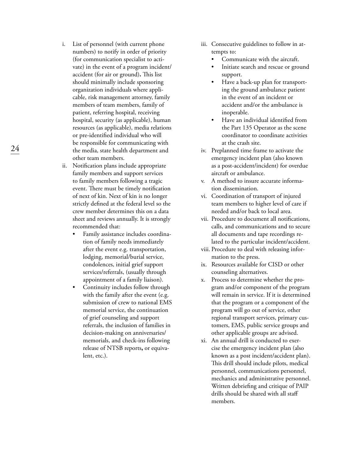i. List of personnel (with current phone numbers) to notify in order of priority (for communication specialist to activate) in the event of a program incident/ accident (for air or ground)**.** This list should minimally include sponsoring organization individuals where applicable, risk management attorney, family members of team members, family of patient, referring hospital, receiving hospital, security (as applicable), human resources (as applicable), media relations or pre-identified individual who will be responsible for communicating with the media, state health department and other team members.

24

- ii. Notification plans include appropriate family members and support services to family members following a tragic event. There must be timely notification of next of kin. Next of kin is no longer strictly defined at the federal level so the crew member determines this on a data sheet and reviews annually. It is strongly recommended that:
	- Family assistance includes coordination of family needs immediately after the event e.g. transportation, lodging, memorial/burial service, condolences, initial grief support services/referrals, (usually through appointment of a family liaison).
	- Continuity includes follow through with the family after the event (e.g. submission of crew to national EMS memorial service, the continuation of grief counseling and support referrals, the inclusion of families in decision-making on anniversaries/ memorials, and check-ins following release of NTSB reports**,** or equivalent, etc.).
- iii. Consecutive guidelines to follow in attempts to:
	- Communicate with the aircraft.
	- Initiate search and rescue or ground support.
	- Have a back-up plan for transporting the ground ambulance patient in the event of an incident or accident and/or the ambulance is inoperable.
	- Have an individual identified from the Part 135 Operator as the scene coordinator to coordinate activities at the crash site.
- iv. Preplanned time frame to activate the emergency incident plan (also known as a post-accident/incident) for overdue aircraft or ambulance.
- v. A method to insure accurate information dissemination.
- vi. Coordination of transport of injured team members to higher level of care if needed and/or back to local area.
- vii. Procedure to document all notifications, calls, and communications and to secure all documents and tape recordings related to the particular incident/accident.
- viii. Procedure to deal with releasing information to the press.
- ix. Resources available for CISD or other counseling alternatives.
- x. Process to determine whether the program and/or component of the program will remain in service. If it is determined that the program or a component of the program will go out of service, other regional transport services, primary customers, EMS, public service groups and other applicable groups are advised.
- xi. An annual drill is conducted to exercise the emergency incident plan (also known as a post incident/accident plan). This drill should include pilots, medical personnel, communications personnel, mechanics and administrative personnel. Written debriefing and critique of PAIP drills should be shared with all staff members.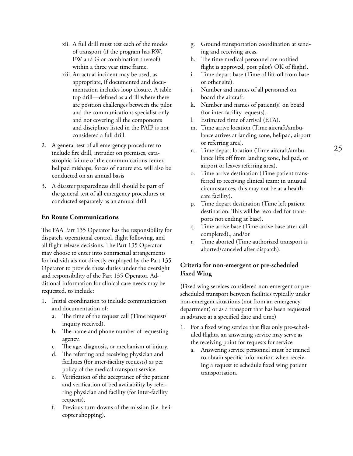- xii. A full drill must test each of the modes of transport (if the program has RW, FW and G or combination thereof) within a three year time frame.
- xiii. An actual incident may be used, as appropriate, if documented and documentation includes loop closure. A table top drill—defined as a drill where there are position challenges between the pilot and the communications specialist only and not covering all the components and disciplines listed in the PAIP is not considered a full drill.
- 2. A general test of all emergency procedures to include fire drill, intruder on premises, catastrophic failure of the communications center, helipad mishaps, forces of nature etc. will also be conducted on an annual basis
- 3. A disaster preparedness drill should be part of the general test of all emergency procedures or conducted separately as an annual drill

### **En Route Communications**

The FAA Part 135 Operator has the responsibility for dispatch, operational control, flight following, and all flight release decisions. The Part 135 Operator may choose to enter into contractual arrangements for individuals not directly employed by the Part 135 Operator to provide these duties under the oversight and responsibility of the Part 135 Operator. Additional Information for clinical care needs may be requested, to include:

- 1. Initial coordination to include communication and documentation of:
	- a. The time of the request call (Time request/ inquiry received).
	- b. The name and phone number of requesting agency.
	- c. The age, diagnosis, or mechanism of injury.
	- d. The referring and receiving physician and facilities (for inter-facility requests) as per policy of the medical transport service.
	- e. Verification of the acceptance of the patient and verification of bed availability by referring physician and facility (for inter-facility requests).
	- f. Previous turn-downs of the mission (i.e. helicopter shopping).
- g. Ground transportation coordination at sending and receiving areas.
- h. The time medical personnel are notified flight is approved, post pilot's OK of flight).
- i. Time depart base (Time of lift-off from base or other site).
- j. Number and names of all personnel on board the aircraft.
- k. Number and names of patient(s) on board (for inter-facility requests).
- l. Estimated time of arrival (ETA).
- m. Time arrive location (Time aircraft/ambulance arrives at landing zone, helipad, airport or referring area).
- n. Time depart location (Time aircraft/ambulance lifts off from landing zone, helipad, or airport or leaves referring area).
- o. Time arrive destination (Time patient transferred to receiving clinical team; in unusual circumstances, this may not be at a healthcare facility).
- p. Time depart destination (Time left patient destination. This will be recorded for transports not ending at base).
- q. Time arrive base (Time arrive base after call completed)., and/or
- r. Time aborted (Time authorized transport is aborted/canceled after dispatch).

## **Criteria for non-emergent or pre-scheduled Fixed Wing**

**(**Fixed wing services considered non-emergent or prescheduled transport between facilities typically under non-emergent situations (not from an emergency department) or as a transport that has been requested in advance at a specified date and time)

- 1. For a fixed wing service that flies only pre-scheduled flights, an answering service may serve as the receiving point for requests for service
	- a. Answering service personnel must be trained to obtain specific information when receiving a request to schedule fixed wing patient transportation.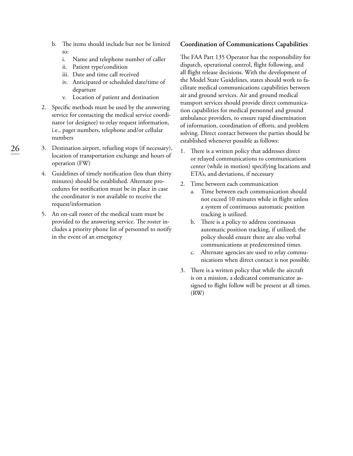- b. The items should include but not be limited to:
	- i. Name and telephone number of caller
	- ii. Patient type/condition
	- iii. Date and time call received
	- iv. Anticipated or scheduled date/time of departure
	- v. Location of patient and destination
- 2. Specific methods must be used by the answering service for contacting the medical service coordinator (or designee) to relay request information, i.e., pager numbers, telephone and/or cellular numbers
- 3. Destination airport, refueling stops (if necessary), location of transportation exchange and hours of operation (FW)
- 4. Guidelines of timely notification (less than thirty minutes) should be established. Alternate procedures for notification must be in place in case the coordinator is not available to receive the request/information
- 5. An on-call roster of the medical team must be provided to the answering service. The roster includes a priority phone list of personnel to notify in the event of an emergency

#### **Coordination of Communications Capabilities**

The FAA Part 135 Operator has the responsibility for dispatch, operational control, flight following, and all flight release decisions. With the development of the Model State Guidelines, states should work to facilitate medical communications capabilities between air and ground services. Air and ground medical transport services should provide direct communication capabilities for medical personnel and ground ambulance providers, to ensure rapid dissemination of information, coordination of efforts, and problem solving. Direct contact between the parties should be established whenever possible as follows:

- 1. There is a written policy that addresses direct or relayed communications to communications center (while in motion) specifying locations and ETA's, and deviations, if necessary
- 2. Time between each communication
	- a. Time between each communication should not exceed 10 minutes while in flight unless a system of continuous automatic position tracking is utilized.
	- b. There is a policy to address continuous automatic position tracking, if utilized; the policy should ensure there are also verbal communications at predetermined times.
	- c. Alternate agencies are used to relay communications when direct contact is not possible.
- 3. There is a written policy that while the aircraft is on a mission, a dedicated communicator assigned to flight follow will be present at all times. (RW)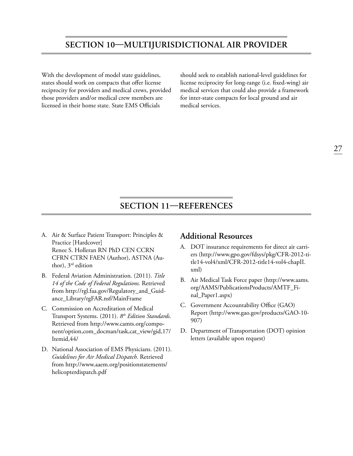# **Section 10—Multijurisdictional Air Provider**

With the development of model state guidelines, states should work on compacts that offer license reciprocity for providers and medical crews, provided those providers and/or medical crew members are licensed in their home state. State EMS Officials

should seek to establish national-level guidelines for license reciprocity for long-range (i.e. fixed-wing) air medical services that could also provide a framework for inter-state compacts for local ground and air medical services.

# **Section 11—References**

- A. Air & Surface Patient Transport: Principles & Practice [Hardcover] Renee S. Holleran RN PhD CEN CCRN CFRN CTRN FAEN (Author), ASTNA (Author), 3rd edition
- B. Federal Aviation Administration. (2011). *Title 14 of the Code of Federal Regulations.* Retrieved from http://rgl.faa.gov/Regulatory\_and\_Guidance\_Library/rgFAR.nsf/MainFrame
- C. Commission on Accreditation of Medical Transport Systems. (2011). *8th Edition Standards.* Retrieved from http://www.camts.org/component/option,com\_docman/task,cat\_view/gid,17/ Itemid,44/
- D. National Association of EMS Physicians. (2011). *Guidelines for Air Medical Dispatch.* Retrieved from http://www.aaem.org/positionstatements/ helicopterdispatch.pdf

## **Additional Resources**

- A. DOT insurance requirements for direct air carriers (http://www.gpo.gov/fdsys/pkg/CFR-2012-title14-vol4/xml/CFR-2012-title14-vol4-chapII. xml)
- B. Air Medical Task Force paper (http://www.aams. org/AAMS/PublicationsProducts/AMTF\_Final\_Paper1.aspx)
- C. Government Accountability Office (GAO) Report (http://www.gao.gov/products/GAO-10- 907)
- D. Department of Transportation (DOT) opinion letters (available upon request)